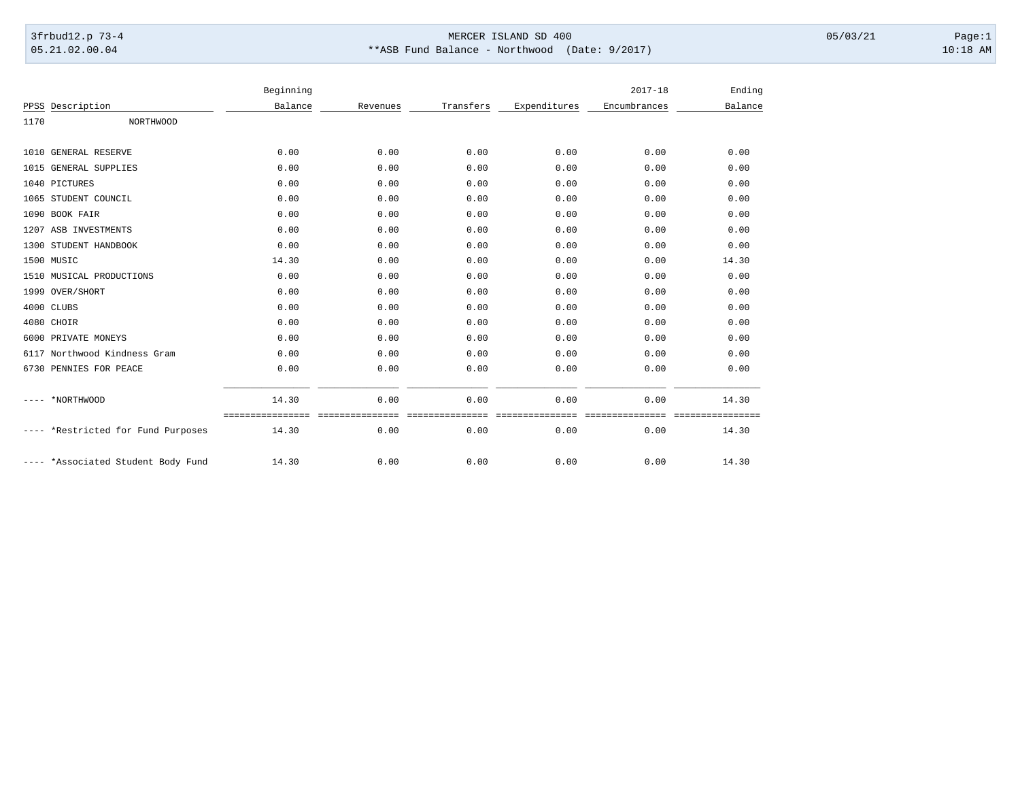## 3frbud12.p 73-4 Page:1 Page:1 05.21.02.00.04 \*\*ASB Fund Balance - Northwood (Date: 9/2017) 10:18 AM

|      |                               | Beginning |          |           |              | $2017 - 18$  | Ending            |
|------|-------------------------------|-----------|----------|-----------|--------------|--------------|-------------------|
|      | PPSS Description              | Balance   | Revenues | Transfers | Expenditures | Encumbrances | Balance           |
| 1170 | <b>NORTHWOOD</b>              |           |          |           |              |              |                   |
|      | 1010 GENERAL RESERVE          | 0.00      | 0.00     | 0.00      | 0.00         | 0.00         | 0.00              |
|      | 1015 GENERAL SUPPLIES         | 0.00      | 0.00     | 0.00      | 0.00         | 0.00         | 0.00              |
|      | 1040 PICTURES                 | 0.00      | 0.00     | 0.00      | 0.00         | 0.00         | 0.00              |
|      | 1065 STUDENT COUNCIL          | 0.00      | 0.00     | 0.00      | 0.00         | 0.00         | 0.00              |
|      | 1090 BOOK FAIR                | 0.00      | 0.00     | 0.00      | 0.00         | 0.00         | 0.00              |
|      | 1207 ASB INVESTMENTS          | 0.00      | 0.00     | 0.00      | 0.00         | 0.00         | 0.00              |
|      | 1300 STUDENT HANDBOOK         | 0.00      | 0.00     | 0.00      | 0.00         | 0.00         | 0.00              |
|      | 1500 MUSIC                    | 14.30     | 0.00     | 0.00      | 0.00         | 0.00         | 14.30             |
|      | 1510 MUSICAL PRODUCTIONS      | 0.00      | 0.00     | 0.00      | 0.00         | 0.00         | 0.00              |
|      | 1999 OVER/SHORT               | 0.00      | 0.00     | 0.00      | 0.00         | 0.00         | 0.00              |
|      | 4000 CLUBS                    | 0.00      | 0.00     | 0.00      | 0.00         | 0.00         | 0.00              |
|      | 4080 CHOIR                    | 0.00      | 0.00     | 0.00      | 0.00         | 0.00         | 0.00              |
|      | 6000 PRIVATE MONEYS           | 0.00      | 0.00     | 0.00      | 0.00         | 0.00         | 0.00              |
|      | 6117 Northwood Kindness Gram  | 0.00      | 0.00     | 0.00      | 0.00         | 0.00         | 0.00              |
|      | 6730 PENNIES FOR PEACE        | 0.00      | 0.00     | 0.00      | 0.00         | 0.00         | 0.00              |
|      | *NORTHWOOD                    | 14.30     | 0.00     | 0.00      | 0.00         | 0.00         | 14.30             |
|      | *Restricted for Fund Purposes | 14.30     | 0.00     | 0.00      | 0.00         | 0.00         | ========<br>14.30 |
|      | *Associated Student Body Fund | 14.30     | 0.00     | 0.00      | 0.00         | 0.00         | 14.30             |